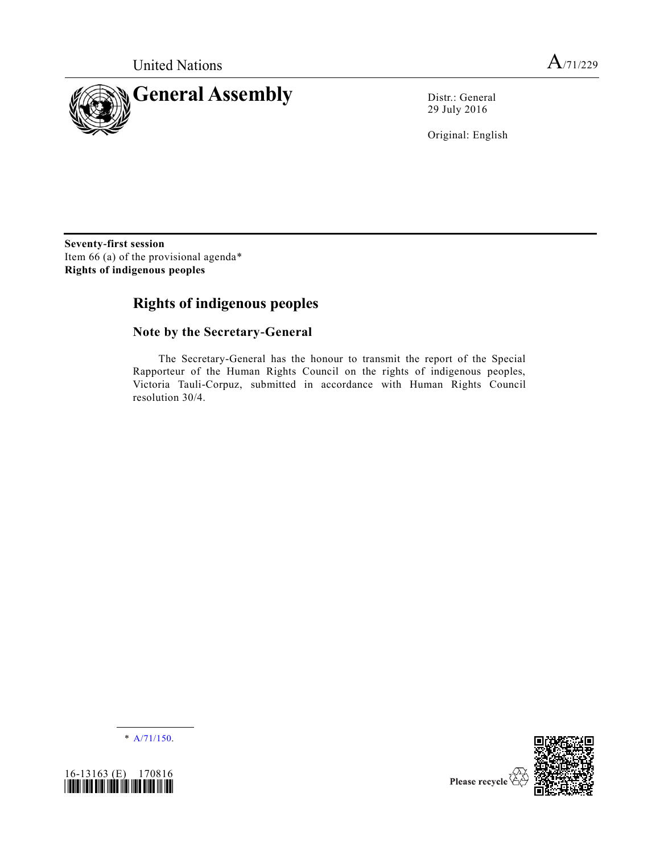

29 July 2016

Original: English

**Seventy-first session** Item 66 (a) of the provisional agenda\* **Rights of indigenous peoples**

# **Rights of indigenous peoples**

## **Note by the Secretary-General**

The Secretary-General has the honour to transmit the report of the Special Rapporteur of the Human Rights Council on the rights of indigenous peoples, Victoria Tauli-Corpuz, submitted in accordance with Human Rights Council resolution 30/4.

\* [A/71/150.](http://undocs.org/A/71/150)





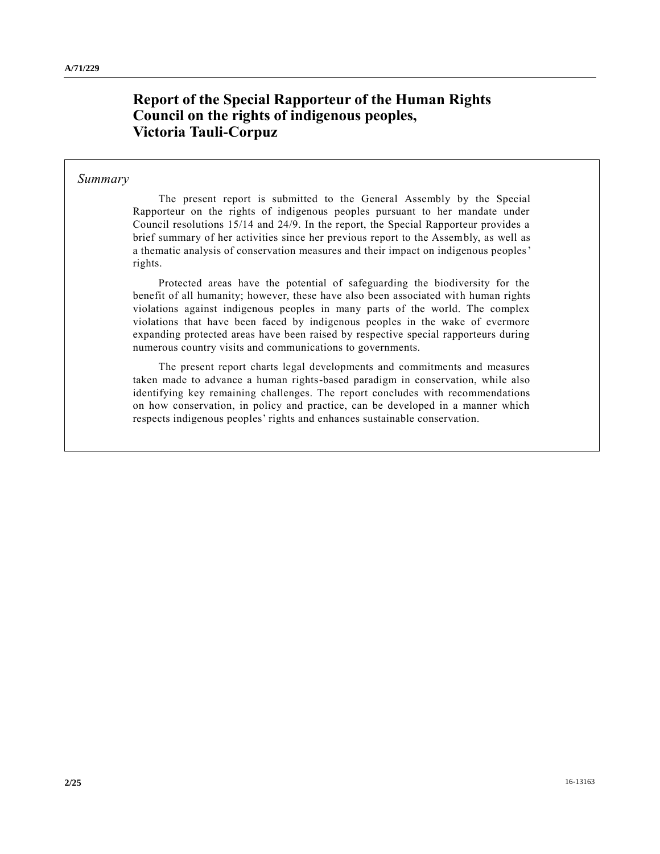## **Report of the Special Rapporteur of the Human Rights Council on the rights of indigenous peoples, Victoria Tauli-Corpuz**

#### *Summary*

The present report is submitted to the General Assembly by the Special Rapporteur on the rights of indigenous peoples pursuant to her mandate under Council resolutions 15/14 and 24/9. In the report, the Special Rapporteur provides a brief summary of her activities since her previous report to the Assembly, as well as a thematic analysis of conservation measures and their impact on indigenous peoples' rights.

Protected areas have the potential of safeguarding the biodiversity for the benefit of all humanity; however, these have also been associated with human rights violations against indigenous peoples in many parts of the world. The complex violations that have been faced by indigenous peoples in the wake of evermore expanding protected areas have been raised by respective special rapporteurs during numerous country visits and communications to governments.

The present report charts legal developments and commitments and measures taken made to advance a human rights-based paradigm in conservation, while also identifying key remaining challenges. The report concludes with recommendations on how conservation, in policy and practice, can be developed in a manner which respects indigenous peoples' rights and enhances sustainable conservation.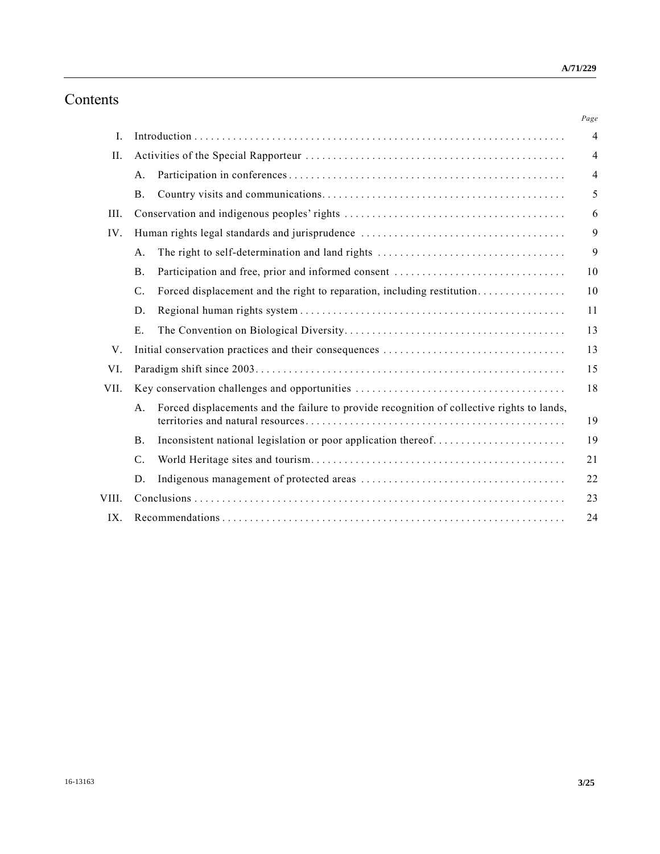# Contents

|       |                 |                                                                                            | Page           |
|-------|-----------------|--------------------------------------------------------------------------------------------|----------------|
| I.    |                 |                                                                                            | $\overline{4}$ |
| II.   |                 |                                                                                            | $\overline{4}$ |
|       | A.              |                                                                                            | 4              |
|       | <b>B</b> .      |                                                                                            | 5              |
| III.  |                 |                                                                                            | 6              |
| IV.   |                 |                                                                                            | 9              |
|       | A <sub>1</sub>  | The right to self-determination and land rights                                            | 9              |
|       | <b>B</b> .      | Participation and free, prior and informed consent                                         | 10             |
|       | $\mathcal{C}$ . | Forced displacement and the right to reparation, including restitution                     | 10             |
|       | D.              |                                                                                            | 11             |
|       | E.              |                                                                                            | 13             |
| V.    |                 |                                                                                            | 13             |
| VI.   |                 |                                                                                            |                |
| VII.  |                 |                                                                                            | 18             |
|       | A.              | Forced displacements and the failure to provide recognition of collective rights to lands, | 19             |
|       | <b>B.</b>       |                                                                                            | 19             |
|       | $\mathcal{C}$ . |                                                                                            | 21             |
|       | D.              |                                                                                            | 22             |
| VIII. |                 |                                                                                            | 23             |
| IX.   |                 |                                                                                            | 24             |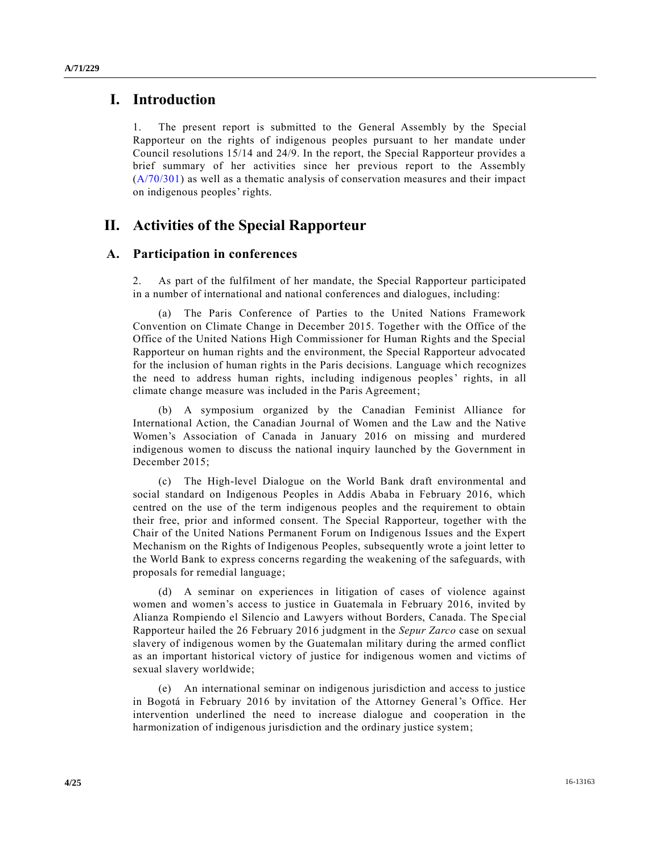### **I. Introduction**

1. The present report is submitted to the General Assembly by the Special Rapporteur on the rights of indigenous peoples pursuant to her mandate under Council resolutions 15/14 and 24/9. In the report, the Special Rapporteur provides a brief summary of her activities since her previous report to the Assembly [\(A/70/301\)](http://undocs.org/A/70/301) as well as a thematic analysis of conservation measures and their impact on indigenous peoples' rights.

## **II. Activities of the Special Rapporteur**

### **A. Participation in conferences**

2. As part of the fulfilment of her mandate, the Special Rapporteur participated in a number of international and national conferences and dialogues, including:

(a) The Paris Conference of Parties to the United Nations Framework Convention on Climate Change in December 2015. Together with the Office of the Office of the United Nations High Commissioner for Human Rights and the Special Rapporteur on human rights and the environment, the Special Rapporteur advocated for the inclusion of human rights in the Paris decisions. Language which recognizes the need to address human rights, including indigenous peoples' rights, in all climate change measure was included in the Paris Agreement;

(b) A symposium organized by the Canadian Feminist Alliance for International Action, the Canadian Journal of Women and the Law and the Native Women's Association of Canada in January 2016 on missing and murdered indigenous women to discuss the national inquiry launched by the Government in December 2015;

(c) The High-level Dialogue on the World Bank draft environmental and social standard on Indigenous Peoples in Addis Ababa in February 2016, which centred on the use of the term indigenous peoples and the requirement to obtain their free, prior and informed consent. The Special Rapporteur, together with the Chair of the United Nations Permanent Forum on Indigenous Issues and the Expert Mechanism on the Rights of Indigenous Peoples, subsequently wrote a joint letter to the World Bank to express concerns regarding the weakening of the safeguards, with proposals for remedial language;

(d) A seminar on experiences in litigation of cases of violence against women and women's access to justice in Guatemala in February 2016, invited by Alianza Rompiendo el Silencio and Lawyers without Borders, Canada. The Spe cial Rapporteur hailed the 26 February 2016 judgment in the *Sepur Zarco* case on sexual slavery of indigenous women by the Guatemalan military during the armed conflict as an important historical victory of justice for indigenous women and victims of sexual slavery worldwide;

(e) An international seminar on indigenous jurisdiction and access to justice in Bogotá in February 2016 by invitation of the Attorney General's Office. Her intervention underlined the need to increase dialogue and cooperation in the harmonization of indigenous jurisdiction and the ordinary justice system;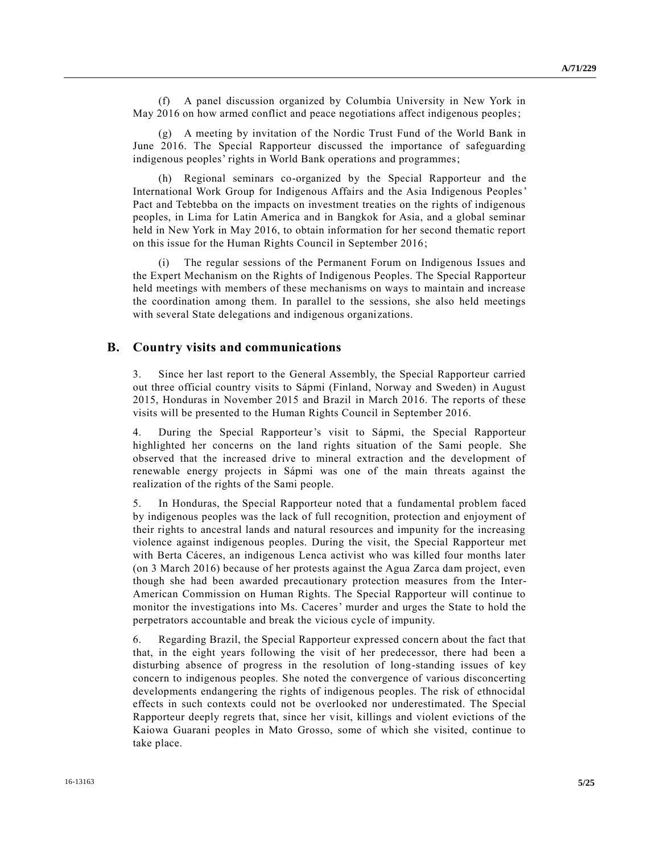(f) A panel discussion organized by Columbia University in New York in May 2016 on how armed conflict and peace negotiations affect indigenous peoples;

(g) A meeting by invitation of the Nordic Trust Fund of the World Bank in June 2016. The Special Rapporteur discussed the importance of safeguarding indigenous peoples' rights in World Bank operations and programmes;

Regional seminars co-organized by the Special Rapporteur and the International Work Group for Indigenous Affairs and the Asia Indigenous Peoples' Pact and Tebtebba on the impacts on investment treaties on the rights of indigenous peoples, in Lima for Latin America and in Bangkok for Asia, and a global seminar held in New York in May 2016, to obtain information for her second thematic report on this issue for the Human Rights Council in September 2016;

(i) The regular sessions of the Permanent Forum on Indigenous Issues and the Expert Mechanism on the Rights of Indigenous Peoples. The Special Rapporteur held meetings with members of these mechanisms on ways to maintain and increase the coordination among them. In parallel to the sessions, she also held meetings with several State delegations and indigenous organizations.

#### **B. Country visits and communications**

3. Since her last report to the General Assembly, the Special Rapporteur carried out three official country visits to Sápmi (Finland, Norway and Sweden) in August 2015, Honduras in November 2015 and Brazil in March 2016. The reports of these visits will be presented to the Human Rights Council in September 2016.

4. During the Special Rapporteur's visit to Sápmi, the Special Rapporteur highlighted her concerns on the land rights situation of the Sami people. She observed that the increased drive to mineral extraction and the development of renewable energy projects in Sápmi was one of the main threats against the realization of the rights of the Sami people.

5. In Honduras, the Special Rapporteur noted that a fundamental problem faced by indigenous peoples was the lack of full recognition, protection and enjoyment of their rights to ancestral lands and natural resources and impunity for the increasing violence against indigenous peoples. During the visit, the Special Rapporteur met with Berta Cáceres, an indigenous Lenca activist who was killed four months later (on 3 March 2016) because of her protests against the Agua Zarca dam project, even though she had been awarded precautionary protection measures from the Inter-American Commission on Human Rights. The Special Rapporteur will continue to monitor the investigations into Ms. Caceres' murder and urges the State to hold the perpetrators accountable and break the vicious cycle of impunity.

6. Regarding Brazil, the Special Rapporteur expressed concern about the fact that that, in the eight years following the visit of her predecessor, there had been a disturbing absence of progress in the resolution of long-standing issues of key concern to indigenous peoples. She noted the convergence of various disconcerting developments endangering the rights of indigenous peoples. The risk of ethnocidal effects in such contexts could not be overlooked nor underestimated. The Special Rapporteur deeply regrets that, since her visit, killings and violent evictions of the Kaiowa Guarani peoples in Mato Grosso, some of which she visited, continue to take place.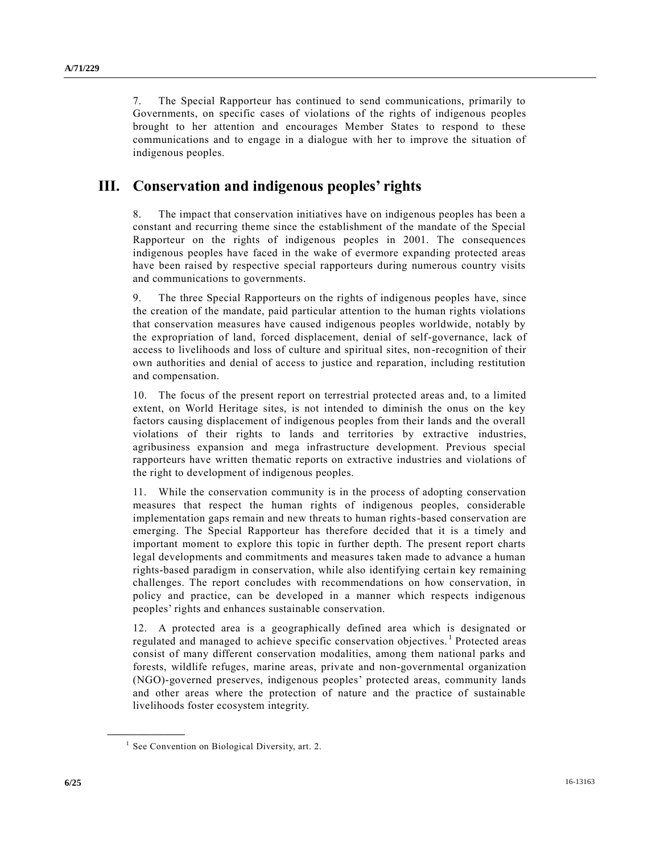7. The Special Rapporteur has continued to send communications, primarily to Governments, on specific cases of violations of the rights of indigenous peoples brought to her attention and encourages Member States to respond to these communications and to engage in a dialogue with her to improve the situation of indigenous peoples.

## **III. Conservation and indigenous peoples' rights**

8. The impact that conservation initiatives have on indigenous peoples has been a constant and recurring theme since the establishment of the mandate of the Special Rapporteur on the rights of indigenous peoples in 2001. The consequences indigenous peoples have faced in the wake of evermore expanding protected areas have been raised by respective special rapporteurs during numerous country visits and communications to governments.

9. The three Special Rapporteurs on the rights of indigenous peoples have, since the creation of the mandate, paid particular attention to the human rights violations that conservation measures have caused indigenous peoples worldwide, notably by the expropriation of land, forced displacement, denial of self-governance, lack of access to livelihoods and loss of culture and spiritual sites, non-recognition of their own authorities and denial of access to justice and reparation, including restitution and compensation.

10. The focus of the present report on terrestrial protected areas and, to a limited extent, on World Heritage sites, is not intended to diminish the onus on the key factors causing displacement of indigenous peoples from their lands and the overall violations of their rights to lands and territories by extractive industries, agribusiness expansion and mega infrastructure development. Previous special rapporteurs have written thematic reports on extractive industries and violations of the right to development of indigenous peoples.

11. While the conservation community is in the process of adopting conservation measures that respect the human rights of indigenous peoples, considerable implementation gaps remain and new threats to human rights-based conservation are emerging. The Special Rapporteur has therefore decided that it is a timely and important moment to explore this topic in further depth. The present report charts legal developments and commitments and measures taken made to advance a human rights-based paradigm in conservation, while also identifying certain key remaining challenges. The report concludes with recommendations on how conservation, in policy and practice, can be developed in a manner which respects indigenous peoples' rights and enhances sustainable conservation.

12. A protected area is a geographically defined area which is designated or regulated and managed to achieve specific conservation objectives.<sup>1</sup> Protected areas consist of many different conservation modalities, among them national parks and forests, wildlife refuges, marine areas, private and non-governmental organization (NGO)-governed preserves, indigenous peoples' protected areas, community lands and other areas where the protection of nature and the practice of sustainable livelihoods foster ecosystem integrity.

<sup>&</sup>lt;sup>1</sup> See Convention on Biological Diversity, art. 2.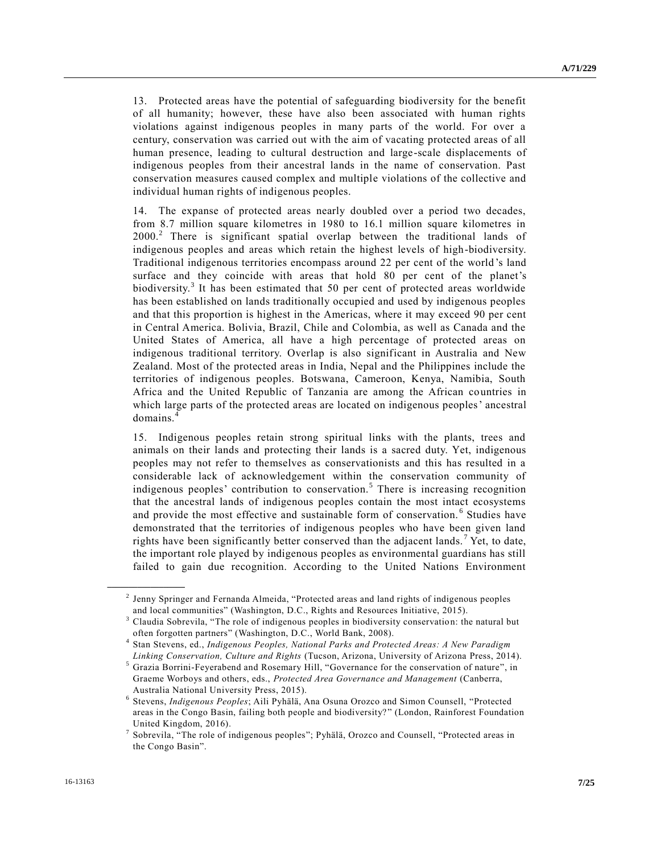13. Protected areas have the potential of safeguarding biodiversity for the benefit of all humanity; however, these have also been associated with human rights violations against indigenous peoples in many parts of the world. For over a century, conservation was carried out with the aim of vacating protected areas of all human presence, leading to cultural destruction and large-scale displacements of indigenous peoples from their ancestral lands in the name of conservation. Past conservation measures caused complex and multiple violations of the collective and individual human rights of indigenous peoples.

14. The expanse of protected areas nearly doubled over a period two decades, from 8.7 million square kilometres in 1980 to 16.1 million square kilometres in 2000.<sup>2</sup> There is significant spatial overlap between the traditional lands of indigenous peoples and areas which retain the highest levels of high-biodiversity. Traditional indigenous territories encompass around 22 per cent of the world 's land surface and they coincide with areas that hold 80 per cent of the planet's biodiversity.<sup>3</sup> It has been estimated that 50 per cent of protected areas worldwide has been established on lands traditionally occupied and used by indigenous peoples and that this proportion is highest in the Americas, where it may exceed 90 per cent in Central America. Bolivia, Brazil, Chile and Colombia, as well as Canada and the United States of America, all have a high percentage of protected areas on indigenous traditional territory. Overlap is also significant in Australia and New Zealand. Most of the protected areas in India, Nepal and the Philippines include the territories of indigenous peoples. Botswana, Cameroon, Kenya, Namibia, South Africa and the United Republic of Tanzania are among the African countries in which large parts of the protected areas are located on indigenous peoples' ancestral domains.<sup>4</sup>

15. Indigenous peoples retain strong spiritual links with the plants, trees and animals on their lands and protecting their lands is a sacred duty. Yet, indigenous peoples may not refer to themselves as conservationists and this has resulted in a considerable lack of acknowledgement within the conservation community of indigenous peoples' contribution to conservation.<sup>5</sup> There is increasing recognition that the ancestral lands of indigenous peoples contain the most intact ecosystems and provide the most effective and sustainable form of conservation.<sup>6</sup> Studies have demonstrated that the territories of indigenous peoples who have been given land rights have been significantly better conserved than the adjacent lands.<sup>7</sup> Yet, to date, the important role played by indigenous peoples as environmental guardians has still failed to gain due recognition. According to the United Nations Environment

<sup>2</sup> Jenny Springer and Fernanda Almeida, "Protected areas and land rights of indigenous peoples and local communities" (Washington, D.C., Rights and Resources Initiative, 2015).

<sup>&</sup>lt;sup>3</sup> Claudia Sobrevila, "The role of indigenous peoples in biodiversity conservation: the natural but often forgotten partners" (Washington, D.C., World Bank, 2008).

<sup>4</sup> Stan Stevens, ed., *Indigenous Peoples, National Parks and Protected Areas: A New Paradigm Linking Conservation, Culture and Rights* (Tucson, Arizona, University of Arizona Press, 2014).

<sup>5</sup> Grazia Borrini-Feyerabend and Rosemary Hill, "Governance for the conservation of nature", in Graeme Worboys and others, eds., *Protected Area Governance and Management* (Canberra, Australia National University Press, 2015).

<sup>6</sup> Stevens, *Indigenous Peoples*; Aili Pyhälä, Ana Osuna Orozco and Simon Counsell, "Protected areas in the Congo Basin, failing both people and biodiversity? " (London, Rainforest Foundation United Kingdom, 2016).

<sup>&</sup>lt;sup>7</sup> Sobrevila, "The role of indigenous peoples"; Pyhälä, Orozco and Counsell, "Protected areas in the Congo Basin".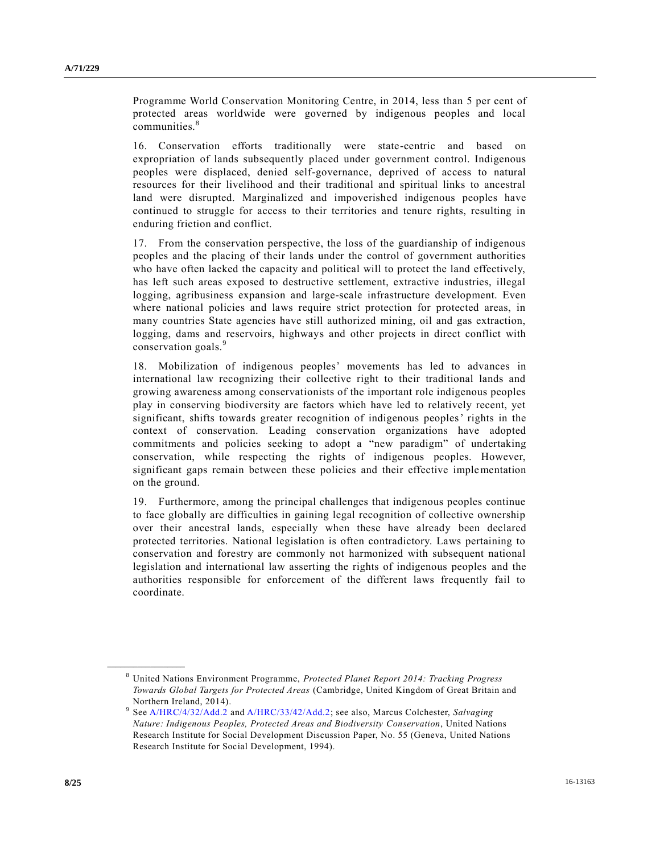Programme World Conservation Monitoring Centre, in 2014, less than 5 per cent of protected areas worldwide were governed by indigenous peoples and local communities.<sup>8</sup>

16. Conservation efforts traditionally were state-centric and based on expropriation of lands subsequently placed under government control. Indigenous peoples were displaced, denied self-governance, deprived of access to natural resources for their livelihood and their traditional and spiritual links to ancestral land were disrupted. Marginalized and impoverished indigenous peoples have continued to struggle for access to their territories and tenure rights, resulting in enduring friction and conflict.

17. From the conservation perspective, the loss of the guardianship of indigenous peoples and the placing of their lands under the control of government authorities who have often lacked the capacity and political will to protect the land effectively, has left such areas exposed to destructive settlement, extractive industries, illegal logging, agribusiness expansion and large-scale infrastructure development. Even where national policies and laws require strict protection for protected areas, in many countries State agencies have still authorized mining, oil and gas extraction, logging, dams and reservoirs, highways and other projects in direct conflict with conservation goals.<sup>9</sup>

18. Mobilization of indigenous peoples' movements has led to advances in international law recognizing their collective right to their traditional lands and growing awareness among conservationists of the important role indigenous peoples play in conserving biodiversity are factors which have led to relatively recent, yet significant, shifts towards greater recognition of indigenous peoples' rights in the context of conservation. Leading conservation organizations have adopted commitments and policies seeking to adopt a "new paradigm" of undertaking conservation, while respecting the rights of indigenous peoples. However, significant gaps remain between these policies and their effective implementation on the ground.

19. Furthermore, among the principal challenges that indigenous peoples continue to face globally are difficulties in gaining legal recognition of collective ownership over their ancestral lands, especially when these have already been declared protected territories. National legislation is often contradictory. Laws pertaining to conservation and forestry are commonly not harmonized with subsequent national legislation and international law asserting the rights of indigenous peoples and the authorities responsible for enforcement of the different laws frequently fail to coordinate.

<sup>8</sup> United Nations Environment Programme, *Protected Planet Report 2014: Tracking Progress Towards Global Targets for Protected Areas* (Cambridge, United Kingdom of Great Britain and Northern Ireland, 2014).

<sup>&</sup>lt;sup>9</sup> Se[e A/HRC/4/32/Add.2](http://undocs.org/A/HRC/4/32/Add.2) and [A/HRC/33/42/Add.2;](http://undocs.org/A/HRC/33/42/Add.2;) see also, Marcus Colchester, *Salvaging Nature: Indigenous Peoples, Protected Areas and Biodiversity Conservation*, United Nations Research Institute for Social Development Discussion Paper, No. 55 (Geneva, United Nations Research Institute for Social Development, 1994).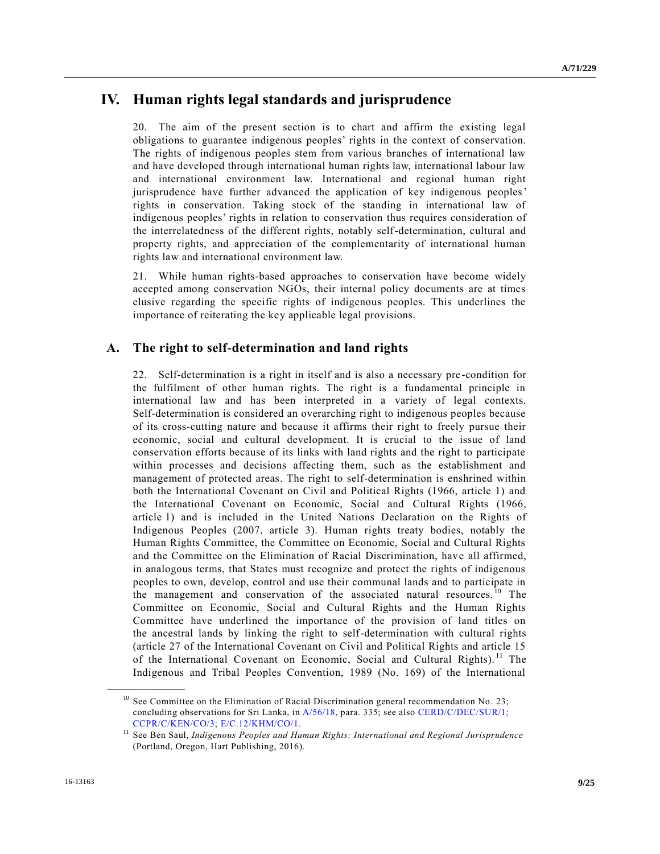# **IV. Human rights legal standards and jurisprudence**

20. The aim of the present section is to chart and affirm the existing legal obligations to guarantee indigenous peoples' rights in the context of conservation. The rights of indigenous peoples stem from various branches of international law and have developed through international human rights law, international labour law and international environment law. International and regional human right jurisprudence have further advanced the application of key indigenous peoples' rights in conservation. Taking stock of the standing in international law of indigenous peoples' rights in relation to conservation thus requires consideration of the interrelatedness of the different rights, notably self-determination, cultural and property rights, and appreciation of the complementarity of international human rights law and international environment law.

21. While human rights-based approaches to conservation have become widely accepted among conservation NGOs, their internal policy documents are at times elusive regarding the specific rights of indigenous peoples. This underlines the importance of reiterating the key applicable legal provisions.

## **A. The right to self-determination and land rights**

22. Self-determination is a right in itself and is also a necessary pre-condition for the fulfilment of other human rights. The right is a fundamental principle in international law and has been interpreted in a variety of legal contexts. Self-determination is considered an overarching right to indigenous peoples because of its cross-cutting nature and because it affirms their right to freely pursue their economic, social and cultural development. It is crucial to the issue of land conservation efforts because of its links with land rights and the right to participate within processes and decisions affecting them, such as the establishment and management of protected areas. The right to self-determination is enshrined within both the International Covenant on Civil and Political Rights (1966, article 1) and the International Covenant on Economic, Social and Cultural Rights (1966, article 1) and is included in the United Nations Declaration on the Rights of Indigenous Peoples (2007, article 3). Human rights treaty bodies, notably the Human Rights Committee, the Committee on Economic, Social and Cultural Rights and the Committee on the Elimination of Racial Discrimination, have all affirmed, in analogous terms, that States must recognize and protect the rights of indigenous peoples to own, develop, control and use their communal lands and to participate in the management and conservation of the associated natural resources.<sup>10</sup> The Committee on Economic, Social and Cultural Rights and the Human Rights Committee have underlined the importance of the provision of land titles on the ancestral lands by linking the right to self-determination with cultural rights (article 27 of the International Covenant on Civil and Political Rights and article 15 of the International Covenant on Economic, Social and Cultural Rights).<sup>11</sup> The Indigenous and Tribal Peoples Convention, 1989 (No. 169) of the International

<sup>&</sup>lt;sup>10</sup> See Committee on the Elimination of Racial Discrimination general recommendation No. 23; concluding observations for Sri Lanka, in [A/56/18,](http://undocs.org/A/56/18) para. 335; see also [CERD/C/DEC/SUR/1;](http://undocs.org/CERD/C/DEC/SUR/1;) [CCPR/C/KEN/CO/3;](http://undocs.org/CCPR/C/KEN/CO/3;) [E/C.12/KHM/CO/1.](http://undocs.org/E/C.12/KHM/CO/1)

<sup>&</sup>lt;sup>11</sup> See Ben Saul, *Indigenous Peoples and Human Rights: International and Regional Jurisprudence* (Portland, Oregon, Hart Publishing, 2016).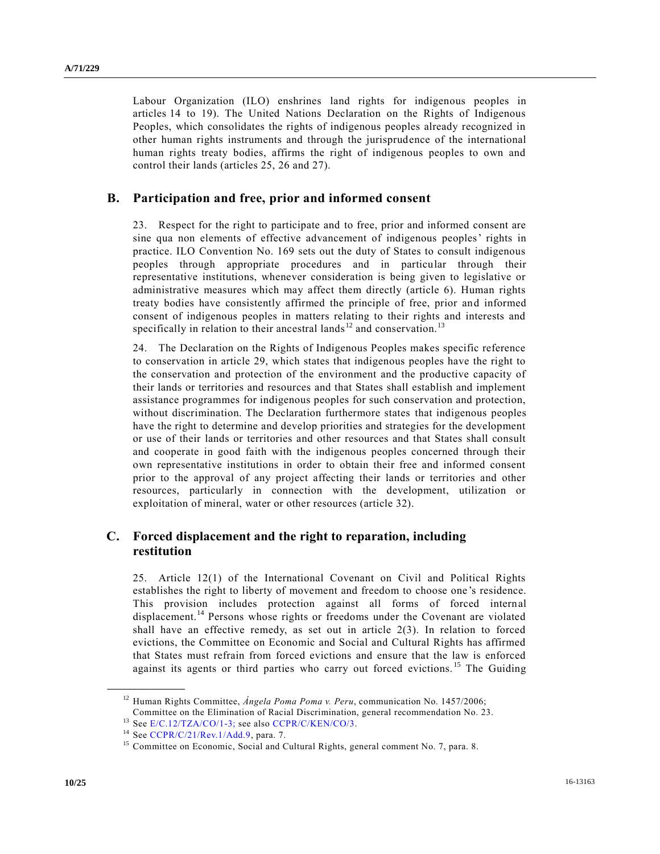Labour Organization (ILO) enshrines land rights for indigenous peoples in articles 14 to 19). The United Nations Declaration on the Rights of Indigenous Peoples, which consolidates the rights of indigenous peoples already recognized in other human rights instruments and through the jurisprudence of the international human rights treaty bodies, affirms the right of indigenous peoples to own and control their lands (articles 25, 26 and 27).

#### **B. Participation and free, prior and informed consent**

23. Respect for the right to participate and to free, prior and informed consent are sine qua non elements of effective advancement of indigenous peoples' rights in practice. ILO Convention No. 169 sets out the duty of States to consult indigenous peoples through appropriate procedures and in particular through their representative institutions, whenever consideration is being given to legislative or administrative measures which may affect them directly (article 6). Human rights treaty bodies have consistently affirmed the principle of free, prior and informed consent of indigenous peoples in matters relating to their rights and interests and specifically in relation to their ancestral lands  $12$  and conservation.<sup>13</sup>

24. The Declaration on the Rights of Indigenous Peoples makes specific reference to conservation in article 29, which states that indigenous peoples have the right to the conservation and protection of the environment and the productive capacity of their lands or territories and resources and that States shall establish and implement assistance programmes for indigenous peoples for such conservation and protection, without discrimination. The Declaration furthermore states that indigenous peoples have the right to determine and develop priorities and strategies for the development or use of their lands or territories and other resources and that States shall consult and cooperate in good faith with the indigenous peoples concerned through their own representative institutions in order to obtain their free and informed consent prior to the approval of any project affecting their lands or territories and other resources, particularly in connection with the development, utilization or exploitation of mineral, water or other resources (article 32).

### **C. Forced displacement and the right to reparation, including restitution**

25. Article 12(1) of the International Covenant on Civil and Political Rights establishes the right to liberty of movement and freedom to choose one 's residence. This provision includes protection against all forms of forced internal displacement.<sup>14</sup> Persons whose rights or freedoms under the Covenant are violated shall have an effective remedy, as set out in article  $2(3)$ . In relation to forced evictions, the Committee on Economic and Social and Cultural Rights has affirmed that States must refrain from forced evictions and ensure that the law is enforced against its agents or third parties who carry out forced evictions. <sup>15</sup> The Guiding

<sup>&</sup>lt;sup>12</sup> Human Rights Committee, *Ángela Poma Poma v. Peru*, communication No. 1457/2006;

Committee on the Elimination of Racial Discrimination, general recommendation No. 23.

<sup>&</sup>lt;sup>13</sup> See [E/C.12/TZA/CO/1-3;](http://undocs.org/E/C.12/TZA/CO/1) see also [CCPR/C/KEN/CO/3.](http://undocs.org/CCPR/C/KEN/CO/3)

<sup>14</sup> See [CCPR/C/21/Rev.1/Add.9,](http://undocs.org/CCPR/C/21/Rev.1/Add.9) para. 7.

<sup>&</sup>lt;sup>15</sup> Committee on Economic, Social and Cultural Rights, general comment No. 7, para. 8.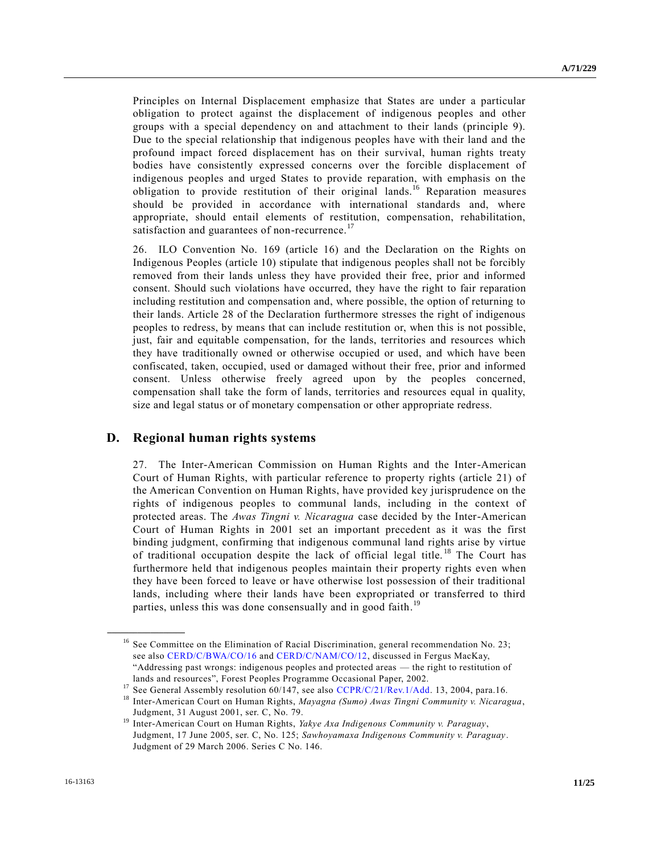Principles on Internal Displacement emphasize that States are under a particular obligation to protect against the displacement of indigenous peoples and other groups with a special dependency on and attachment to their lands (principle 9). Due to the special relationship that indigenous peoples have with their land and the profound impact forced displacement has on their survival, human rights treaty bodies have consistently expressed concerns over the forcible displacement of indigenous peoples and urged States to provide reparation, with emphasis on the obligation to provide restitution of their original lands.<sup>16</sup> Reparation measures should be provided in accordance with international standards and, where appropriate, should entail elements of restitution, compensation, rehabilitation, satisfaction and guarantees of non-recurrence.<sup>17</sup>

26. ILO Convention No. 169 (article 16) and the Declaration on the Rights on Indigenous Peoples (article 10) stipulate that indigenous peoples shall not be forcibly removed from their lands unless they have provided their free, prior and informed consent. Should such violations have occurred, they have the right to fair reparation including restitution and compensation and, where possible, the option of returning to their lands. Article 28 of the Declaration furthermore stresses the right of indigenous peoples to redress, by means that can include restitution or, when this is not possible, just, fair and equitable compensation, for the lands, territories and resources which they have traditionally owned or otherwise occupied or used, and which have been confiscated, taken, occupied, used or damaged without their free, prior and informed consent. Unless otherwise freely agreed upon by the peoples concerned, compensation shall take the form of lands, territories and resources equal in quality, size and legal status or of monetary compensation or other appropriate redress.

#### **D. Regional human rights systems**

27. The Inter-American Commission on Human Rights and the Inter-American Court of Human Rights, with particular reference to property rights (article 21) of the American Convention on Human Rights, have provided key jurisprudence on the rights of indigenous peoples to communal lands, including in the context of protected areas. The *Awas Tingni v. Nicaragua* case decided by the Inter-American Court of Human Rights in 2001 set an important precedent as it was the first binding judgment, confirming that indigenous communal land rights arise by virtue of traditional occupation despite the lack of official legal title. <sup>18</sup> The Court has furthermore held that indigenous peoples maintain their property rights even when they have been forced to leave or have otherwise lost possession of their traditional lands, including where their lands have been expropriated or transferred to third parties, unless this was done consensually and in good faith.<sup>19</sup>

<sup>&</sup>lt;sup>16</sup> See Committee on the Elimination of Racial Discrimination, general recommendation No. 23; see also [CERD/C/BWA/CO/16](http://undocs.org/CERD/C/BWA/CO/16) and [CERD/C/NAM/CO/12,](http://undocs.org/CERD/C/NAM/CO/12) discussed in Fergus MacKay, "Addressing past wrongs: indigenous peoples and protected areas — the right to restitution of lands and resources", Forest Peoples Programme Occasional Paper, 2002.

<sup>&</sup>lt;sup>17</sup> See General Assembly resolution 60/147, see also [CCPR/C/21/Rev.1/Add.](http://undocs.org/CCPR/C/21/Rev.1/Add) 13, 2004, para.16.

<sup>18</sup> Inter-American Court on Human Rights, *Mayagna (Sumo) Awas Tingni Community v. Nicaragua*, Judgment, 31 August 2001, ser. C, No. 79.

<sup>19</sup> Inter-American Court on Human Rights, *Yakye Axa Indigenous Community v. Paraguay*, Judgment, 17 June 2005, ser. C, No. 125; *Sawhoyamaxa Indigenous Community v. Paraguay*. Judgment of 29 March 2006. Series C No. 146.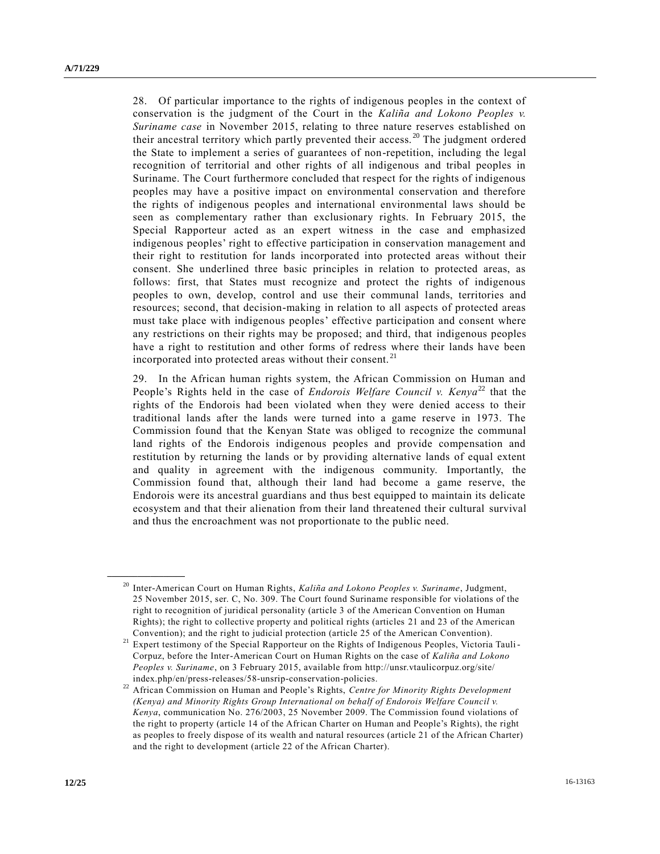28. Of particular importance to the rights of indigenous peoples in the context of conservation is the judgment of the Court in the *Kaliña and Lokono Peoples v. Suriname case* in November 2015, relating to three nature reserves established on their ancestral territory which partly prevented their access.<sup>20</sup> The judgment ordered the State to implement a series of guarantees of non-repetition, including the legal recognition of territorial and other rights of all indigenous and tribal peoples in Suriname. The Court furthermore concluded that respect for the rights of indigenous peoples may have a positive impact on environmental conservation and therefore the rights of indigenous peoples and international environmental laws should be seen as complementary rather than exclusionary rights. In February 2015, the Special Rapporteur acted as an expert witness in the case and emphasized indigenous peoples' right to effective participation in conservation management and their right to restitution for lands incorporated into protected areas without their consent. She underlined three basic principles in relation to protected areas, as follows: first, that States must recognize and protect the rights of indigenous peoples to own, develop, control and use their communal lands, territories and resources; second, that decision-making in relation to all aspects of protected areas must take place with indigenous peoples' effective participation and consent where any restrictions on their rights may be proposed; and third, that indigenous peoples have a right to restitution and other forms of redress where their lands have been incorporated into protected areas without their consent. <sup>21</sup>

29. In the African human rights system, the African Commission on Human and People's Rights held in the case of *Endorois Welfare Council v. Kenya*<sup>22</sup> that the rights of the Endorois had been violated when they were denied access to their traditional lands after the lands were turned into a game reserve in 1973. The Commission found that the Kenyan State was obliged to recognize the communal land rights of the Endorois indigenous peoples and provide compensation and restitution by returning the lands or by providing alternative lands of equal extent and quality in agreement with the indigenous community. Importantly, the Commission found that, although their land had become a game reserve, the Endorois were its ancestral guardians and thus best equipped to maintain its delicate ecosystem and that their alienation from their land threatened their cultural survival and thus the encroachment was not proportionate to the public need.

<sup>20</sup> Inter-American Court on Human Rights, *Kaliña and Lokono Peoples v. Suriname*, Judgment, 25 November 2015, ser. C, No. 309. The Court found Suriname responsible for violations of the right to recognition of juridical personality (article 3 of the American Convention on Human Rights); the right to collective property and political rights (articles 21 and 23 of the American Convention); and the right to judicial protection (article 25 of the American Convention).

<sup>&</sup>lt;sup>21</sup> Expert testimony of the Special Rapporteur on the Rights of Indigenous Peoples, Victoria Tauli-Corpuz, before the Inter-American Court on Human Rights on the case of *Kaliña and Lokono Peoples v. Suriname*, on 3 February 2015, available from http://unsr.vtaulicorpuz.org/site/ index.php/en/press-releases/58-unsrip-conservation-policies.

<sup>&</sup>lt;sup>22</sup> African Commission on Human and People's Rights, *Centre for Minority Rights Development (Kenya) and Minority Rights Group International on behalf of Endorois Welfare Council v. Kenya*, communication No. 276/2003, 25 November 2009. The Commission found violations of the right to property (article 14 of the African Charter on Human and People's Rights), the right as peoples to freely dispose of its wealth and natural resources (article 21 of the African Charter) and the right to development (article 22 of the African Charter).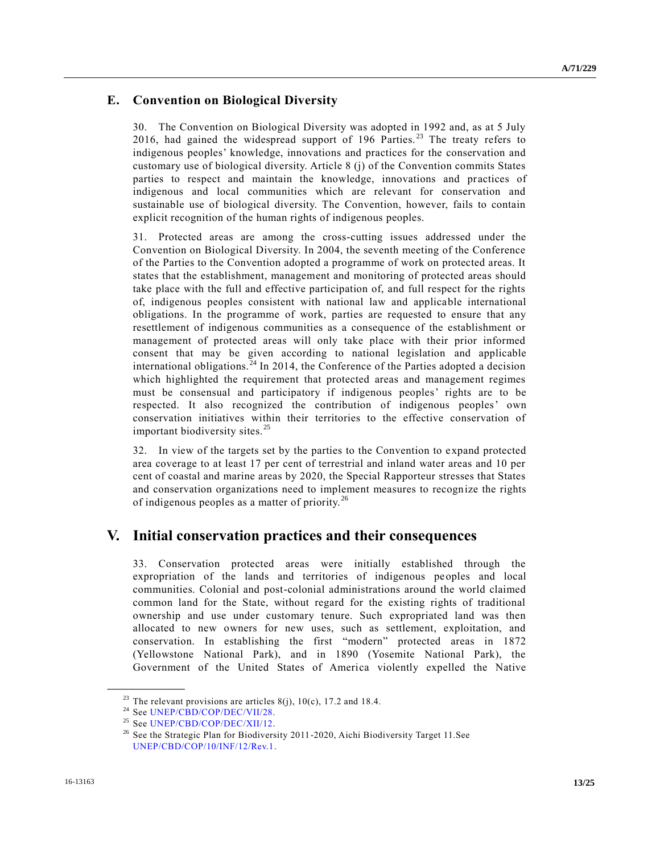### **E. Convention on Biological Diversity**

30. The Convention on Biological Diversity was adopted in 1992 and, as at 5 July 2016, had gained the widespread support of 196 Parties.<sup>23</sup> The treaty refers to indigenous peoples' knowledge, innovations and practices for the conservation and customary use of biological diversity. Article 8 (j) of the Convention commits States parties to respect and maintain the knowledge, innovations and practices of indigenous and local communities which are relevant for conservation and sustainable use of biological diversity. The Convention, however, fails to contain explicit recognition of the human rights of indigenous peoples.

31. Protected areas are among the cross-cutting issues addressed under the Convention on Biological Diversity. In 2004, the seventh meeting of the Conference of the Parties to the Convention adopted a programme of work on protected areas. It states that the establishment, management and monitoring of protected areas should take place with the full and effective participation of, and full respect for the rights of, indigenous peoples consistent with national law and applicable international obligations. In the programme of work, parties are requested to ensure that any resettlement of indigenous communities as a consequence of the establishment or management of protected areas will only take place with their prior informed consent that may be given according to national legislation and applicable international obligations.<sup>24</sup> In 2014, the Conference of the Parties adopted a decision which highlighted the requirement that protected areas and management regimes must be consensual and participatory if indigenous peoples' rights are to be respected. It also recognized the contribution of indigenous peoples' own conservation initiatives within their territories to the effective conservation of important biodiversity sites.<sup>25</sup>

32. In view of the targets set by the parties to the Convention to expand protected area coverage to at least 17 per cent of terrestrial and inland water areas and 10 per cent of coastal and marine areas by 2020, the Special Rapporteur stresses that States and conservation organizations need to implement measures to recognize the rights of indigenous peoples as a matter of priority. <sup>26</sup>

# **V. Initial conservation practices and their consequences**

33. Conservation protected areas were initially established through the expropriation of the lands and territories of indigenous peoples and local communities. Colonial and post-colonial administrations around the world claimed common land for the State, without regard for the existing rights of traditional ownership and use under customary tenure. Such expropriated land was then allocated to new owners for new uses, such as settlement, exploitation, and conservation. In establishing the first "modern" protected areas in 1872 (Yellowstone National Park), and in 1890 (Yosemite National Park), the Government of the United States of America violently expelled the Native

<sup>&</sup>lt;sup>23</sup> The relevant provisions are articles 8(j), 10(c), 17.2 and 18.4.<br><sup>24</sup> See UNED/CRD/COP/DEC/VII/28

See [UNEP/CBD/COP/DEC/VII/28.](http://undocs.org/UNEP/CBD/COP/DEC/VII/28)

<sup>&</sup>lt;sup>25</sup> See [UNEP/CBD/COP/DEC/XII/12.](http://undocs.org/UNEP/CBD/COP/DEC/XII/12)

<sup>&</sup>lt;sup>26</sup> See the Strategic Plan for Biodiversity 2011-2020, Aichi Biodiversity Target 11. See [UNEP/CBD/COP/10/INF/12/Rev.1.](http://undocs.org/UNEP/CBD/COP/10/INF/12/Rev.1)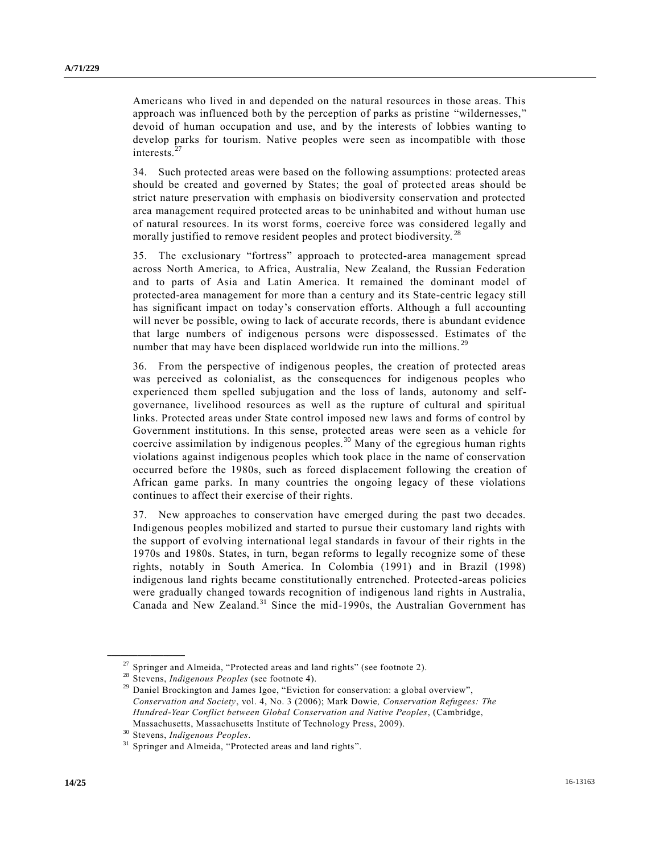Americans who lived in and depended on the natural resources in those areas. This approach was influenced both by the perception of parks as pristine "wildernesses," devoid of human occupation and use, and by the interests of lobbies wanting to develop parks for tourism. Native peoples were seen as incompatible with those interests.<sup>27</sup>

34. Such protected areas were based on the following assumptions: protected areas should be created and governed by States; the goal of protected areas should be strict nature preservation with emphasis on biodiversity conservation and protected area management required protected areas to be uninhabited and without human use of natural resources. In its worst forms, coercive force was considered legally and morally justified to remove resident peoples and protect biodiversity.<sup>28</sup>

35. The exclusionary "fortress" approach to protected-area management spread across North America, to Africa, Australia, New Zealand, the Russian Federation and to parts of Asia and Latin America. It remained the dominant model of protected-area management for more than a century and its State-centric legacy still has significant impact on today's conservation efforts. Although a full accounting will never be possible, owing to lack of accurate records, there is abundant evidence that large numbers of indigenous persons were dispossessed. Estimates of the number that may have been displaced worldwide run into the millions.<sup>29</sup>

36. From the perspective of indigenous peoples, the creation of protected areas was perceived as colonialist, as the consequences for indigenous peoples who experienced them spelled subjugation and the loss of lands, autonomy and selfgovernance, livelihood resources as well as the rupture of cultural and spiritual links. Protected areas under State control imposed new laws and forms of control by Government institutions. In this sense, protected areas were seen as a vehicle for coercive assimilation by indigenous peoples. <sup>30</sup> Many of the egregious human rights violations against indigenous peoples which took place in the name of conservation occurred before the 1980s, such as forced displacement following the creation of African game parks. In many countries the ongoing legacy of these violations continues to affect their exercise of their rights.

37. New approaches to conservation have emerged during the past two decades. Indigenous peoples mobilized and started to pursue their customary land rights with the support of evolving international legal standards in favour of their rights in the 1970s and 1980s. States, in turn, began reforms to legally recognize some of these rights, notably in South America. In Colombia (1991) and in Brazil (1998) indigenous land rights became constitutionally entrenched. Protected-areas policies were gradually changed towards recognition of indigenous land rights in Australia, Canada and New Zealand.<sup>31</sup> Since the mid-1990s, the Australian Government has

 $27$  Springer and Almeida, "Protected areas and land rights" (see footnote 2).

<sup>28</sup> Stevens, *Indigenous Peoples* (see footnote 4).

<sup>&</sup>lt;sup>29</sup> Daniel Brockington and James Igoe, "Eviction for conservation: a global overview", *Conservation and Society*, vol. 4, No. 3 (2006); Mark Dowie*, Conservation Refugees: The Hundred-Year Conflict between Global Conservation and Native Peoples*, (Cambridge, Massachusetts, Massachusetts Institute of Technology Press, 2009).

<sup>30</sup> Stevens, *Indigenous Peoples*.

<sup>&</sup>lt;sup>31</sup> Springer and Almeida, "Protected areas and land rights".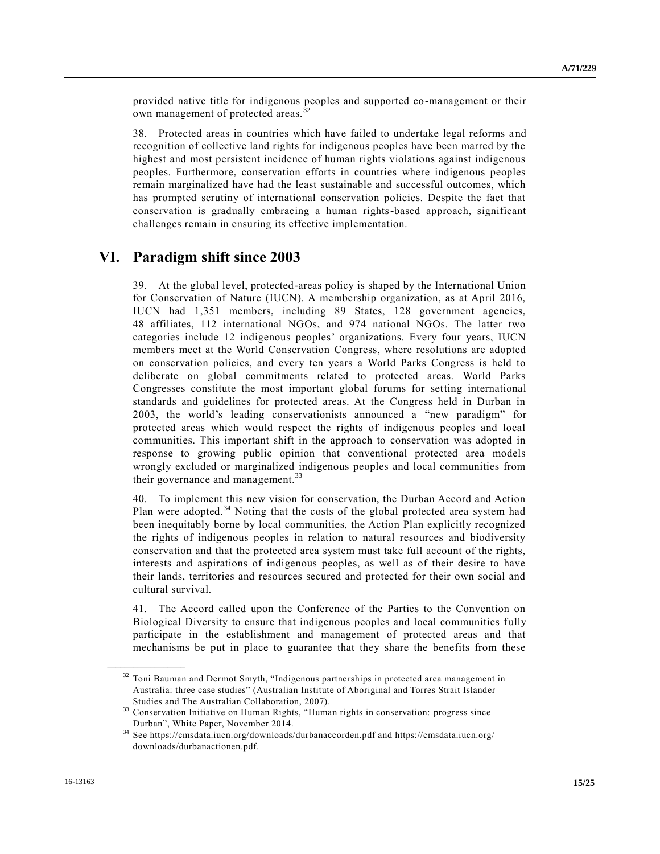provided native title for indigenous peoples and supported co-management or their own management of protected areas.<sup>3</sup>

38. Protected areas in countries which have failed to undertake legal reforms a nd recognition of collective land rights for indigenous peoples have been marred by the highest and most persistent incidence of human rights violations against indigenous peoples. Furthermore, conservation efforts in countries where indigenous peoples remain marginalized have had the least sustainable and successful outcomes, which has prompted scrutiny of international conservation policies. Despite the fact that conservation is gradually embracing a human rights-based approach, significant challenges remain in ensuring its effective implementation.

## **VI. Paradigm shift since 2003**

39. At the global level, protected-areas policy is shaped by the International Union for Conservation of Nature (IUCN). A membership organization, as at April 2016, IUCN had 1,351 members, including 89 States, 128 government agencies, 48 affiliates, 112 international NGOs, and 974 national NGOs. The latter two categories include 12 indigenous peoples' organizations. Every four years, IUCN members meet at the World Conservation Congress, where resolutions are adopted on conservation policies, and every ten years a World Parks Congress is held to deliberate on global commitments related to protected areas. World Parks Congresses constitute the most important global forums for setting international standards and guidelines for protected areas. At the Congress held in Durban in 2003, the world's leading conservationists announced a "new paradigm" for protected areas which would respect the rights of indigenous peoples and local communities. This important shift in the approach to conservation was adopted in response to growing public opinion that conventional protected area models wrongly excluded or marginalized indigenous peoples and local communities from their governance and management.<sup>33</sup>

40. To implement this new vision for conservation, the Durban Accord and Action Plan were adopted. $34$  Noting that the costs of the global protected area system had been inequitably borne by local communities, the Action Plan explicitly recognized the rights of indigenous peoples in relation to natural resources and biodiversity conservation and that the protected area system must take full account of the rights, interests and aspirations of indigenous peoples, as well as of their desire to have their lands, territories and resources secured and protected for their own social and cultural survival.

41. The Accord called upon the Conference of the Parties to the Convention on Biological Diversity to ensure that indigenous peoples and local communities fully participate in the establishment and management of protected areas and that mechanisms be put in place to guarantee that they share the benefits from these

<sup>&</sup>lt;sup>32</sup> Toni Bauman and Dermot Smyth, "Indigenous partnerships in protected area management in Australia: three case studies" (Australian Institute of Aboriginal and Torres Strait Islander Studies and The Australian Collaboration, 2007).

<sup>33</sup> Conservation Initiative on Human Rights, "Human rights in conservation: progress since Durban", White Paper, November 2014.

<sup>34</sup> See https://cmsdata.iucn.org/downloads/durbanaccorden.pdf and https://cmsdata.iucn.org/ downloads/durbanactionen.pdf.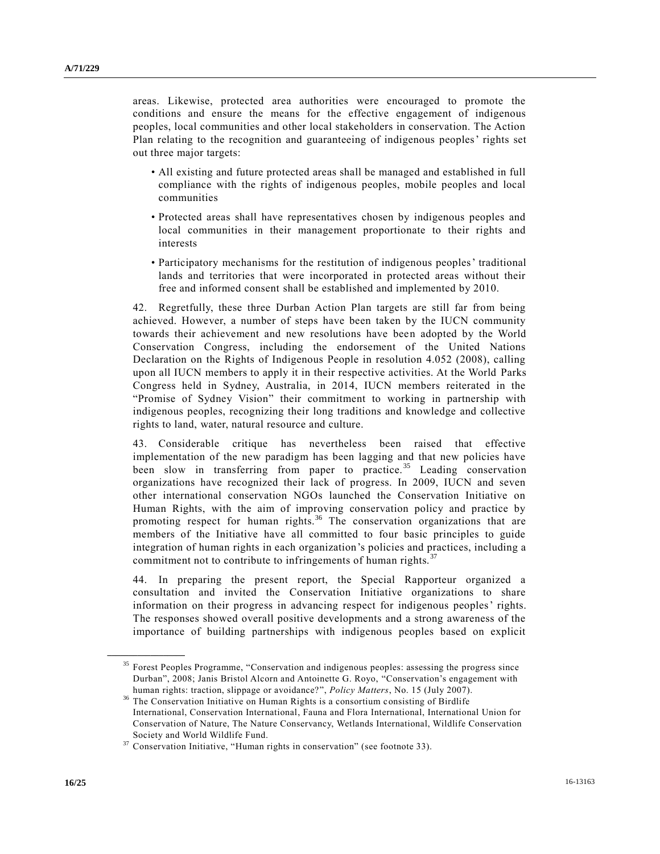areas. Likewise, protected area authorities were encouraged to promote the conditions and ensure the means for the effective engagement of indigenous peoples, local communities and other local stakeholders in conservation. The Action Plan relating to the recognition and guaranteeing of indigenous peoples' rights set out three major targets:

- All existing and future protected areas shall be managed and established in full compliance with the rights of indigenous peoples, mobile peoples and local communities
- Protected areas shall have representatives chosen by indigenous peoples and local communities in their management proportionate to their rights and interests
- Participatory mechanisms for the restitution of indigenous peoples' traditional lands and territories that were incorporated in protected areas without their free and informed consent shall be established and implemented by 2010.

42. Regretfully, these three Durban Action Plan targets are still far from being achieved. However, a number of steps have been taken by the IUCN community towards their achievement and new resolutions have been adopted by the World Conservation Congress, including the endorsement of the United Nations Declaration on the Rights of Indigenous People in resolution 4.052 (2008), calling upon all IUCN members to apply it in their respective activities. At the World Parks Congress held in Sydney, Australia, in 2014, IUCN members reiterated in the "Promise of Sydney Vision" their commitment to working in partnership with indigenous peoples, recognizing their long traditions and knowledge and collective rights to land, water, natural resource and culture.

43. Considerable critique has nevertheless been raised that effective implementation of the new paradigm has been lagging and that new policies have been slow in transferring from paper to practice.<sup>35</sup> Leading conservation organizations have recognized their lack of progress. In 2009, IUCN and seven other international conservation NGOs launched the Conservation Initiative on Human Rights, with the aim of improving conservation policy and practice by promoting respect for human rights.<sup>36</sup> The conservation organizations that are members of the Initiative have all committed to four basic principles to guide integration of human rights in each organization's policies and practices, including a commitment not to contribute to infringements of human rights. $37$ 

44. In preparing the present report, the Special Rapporteur organized a consultation and invited the Conservation Initiative organizations to share information on their progress in advancing respect for indigenous peoples' rights. The responses showed overall positive developments and a strong awareness of the importance of building partnerships with indigenous peoples based on explicit

<sup>&</sup>lt;sup>35</sup> Forest Peoples Programme, "Conservation and indigenous peoples: assessing the progress since Durban", 2008; Janis Bristol Alcorn and Antoinette G. Royo, "Conservation's engagement with human rights: traction, slippage or avoidance?", *Policy Matters*, No. 15 (July 2007).

<sup>&</sup>lt;sup>36</sup> The Conservation Initiative on Human Rights is a consortium consisting of Birdlife International, Conservation International, Fauna and Flora International, International Union for Conservation of Nature, The Nature Conservancy, Wetlands International, Wildlife Conservation Society and World Wildlife Fund.

 $37$  Conservation Initiative, "Human rights in conservation" (see footnote 33).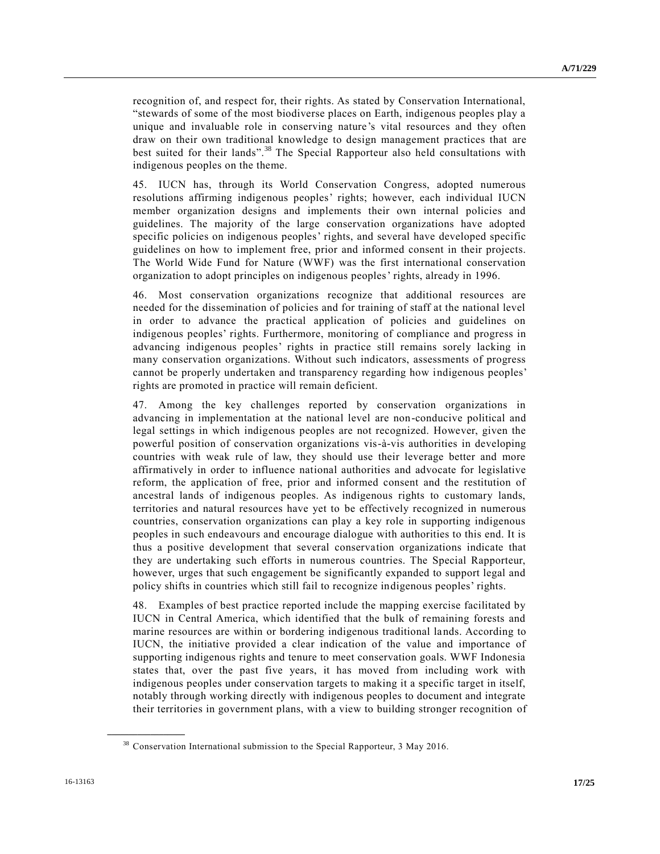recognition of, and respect for, their rights. As stated by Conservation International, "stewards of some of the most biodiverse places on Earth, indigenous peoples play a unique and invaluable role in conserving nature's vital resources and they often draw on their own traditional knowledge to design management practices that are best suited for their lands".<sup>38</sup> The Special Rapporteur also held consultations with indigenous peoples on the theme.

45. IUCN has, through its World Conservation Congress, adopted numerous resolutions affirming indigenous peoples' rights; however, each individual IUCN member organization designs and implements their own internal policies and guidelines. The majority of the large conservation organizations have adopted specific policies on indigenous peoples' rights, and several have developed specific guidelines on how to implement free, prior and informed consent in their projects. The World Wide Fund for Nature (WWF) was the first international conservation organization to adopt principles on indigenous peoples' rights, already in 1996.

46. Most conservation organizations recognize that additional resources are needed for the dissemination of policies and for training of staff at the national level in order to advance the practical application of policies and guidelines on indigenous peoples' rights. Furthermore, monitoring of compliance and progress in advancing indigenous peoples' rights in practice still remains sorely lacking in many conservation organizations. Without such indicators, assessments of progress cannot be properly undertaken and transparency regarding how indigenous peoples' rights are promoted in practice will remain deficient.

47. Among the key challenges reported by conservation organizations in advancing in implementation at the national level are non-conducive political and legal settings in which indigenous peoples are not recognized. However, given the powerful position of conservation organizations vis-à-vis authorities in developing countries with weak rule of law, they should use their leverage better and more affirmatively in order to influence national authorities and advocate for legislative reform, the application of free, prior and informed consent and the restitution of ancestral lands of indigenous peoples. As indigenous rights to customary lands, territories and natural resources have yet to be effectively recognized in numerous countries, conservation organizations can play a key role in supporting indigenous peoples in such endeavours and encourage dialogue with authorities to this end. It is thus a positive development that several conservation organizations indicate that they are undertaking such efforts in numerous countries. The Special Rapporteur, however, urges that such engagement be significantly expanded to support legal and policy shifts in countries which still fail to recognize indigenous peoples' rights.

48. Examples of best practice reported include the mapping exercise facilitated by IUCN in Central America, which identified that the bulk of remaining forests and marine resources are within or bordering indigenous traditional lands. According to IUCN, the initiative provided a clear indication of the value and importance of supporting indigenous rights and tenure to meet conservation goals. WWF Indonesia states that, over the past five years, it has moved from including work with indigenous peoples under conservation targets to making it a specific target in itself, notably through working directly with indigenous peoples to document and integrate their territories in government plans, with a view to building stronger recognition of

<sup>&</sup>lt;sup>38</sup> Conservation International submission to the Special Rapporteur, 3 May 2016.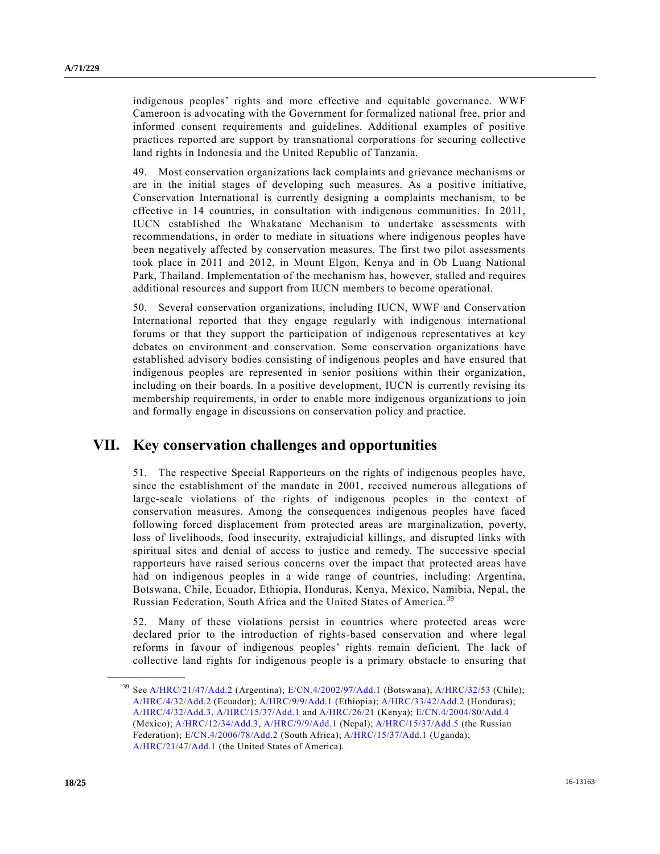indigenous peoples' rights and more effective and equitable governance. WWF Cameroon is advocating with the Government for formalized national free, prior and informed consent requirements and guidelines. Additional examples of positive practices reported are support by transnational corporations for securing collective land rights in Indonesia and the United Republic of Tanzania.

49. Most conservation organizations lack complaints and grievance mechanisms or are in the initial stages of developing such measures. As a positive initiative, Conservation International is currently designing a complaints mechanism, to be effective in 14 countries, in consultation with indigenous communities. In 2011, IUCN established the Whakatane Mechanism to undertake assessments with recommendations, in order to mediate in situations where indigenous peoples have been negatively affected by conservation measures. The first two pilot assessments took place in 2011 and 2012, in Mount Elgon, Kenya and in Ob Luang National Park, Thailand. Implementation of the mechanism has, however, stalled and requires additional resources and support from IUCN members to become operational.

50. Several conservation organizations, including IUCN, WWF and Conservation International reported that they engage regularly with indigenous international forums or that they support the participation of indigenous representatives at key debates on environment and conservation. Some conservation organizations have established advisory bodies consisting of indigenous peoples and have ensured that indigenous peoples are represented in senior positions within their organization, including on their boards. In a positive development, IUCN is currently revising its membership requirements, in order to enable more indigenous organizations to join and formally engage in discussions on conservation policy and practice.

## **VII. Key conservation challenges and opportunities**

51. The respective Special Rapporteurs on the rights of indigenous peoples have, since the establishment of the mandate in 2001, received numerous allegations of large-scale violations of the rights of indigenous peoples in the context of conservation measures. Among the consequences indigenous peoples have faced following forced displacement from protected areas are marginalization, poverty, loss of livelihoods, food insecurity, extrajudicial killings, and disrupted links with spiritual sites and denial of access to justice and remedy. The successive special rapporteurs have raised serious concerns over the impact that protected areas have had on indigenous peoples in a wide range of countries, including: Argentina, Botswana, Chile, Ecuador, Ethiopia, Honduras, Kenya, Mexico, Namibia, Nepal, the Russian Federation, South Africa and the United States of America. <sup>39</sup>

52. Many of these violations persist in countries where protected areas were declared prior to the introduction of rights-based conservation and where legal reforms in favour of indigenous peoples' rights remain deficient. The lack of collective land rights for indigenous people is a primary obstacle to ensuring that

<sup>39</sup> Se[e A/HRC/21/47/Add.2](http://undocs.org/A/HRC/21/47/Add.2) (Argentina); [E/CN.4/2002/97/Add.1](http://undocs.org/E/CN.4/2002/97/Add.1) (Botswana)[; A/HRC/32/53](http://undocs.org/A/HRC/32/53) (Chile); [A/HRC/4/32/Add.2](http://undocs.org/A/HRC/4/32/Add.2) (Ecuador)[; A/HRC/9/9/Add.1](http://undocs.org/A/HRC/9/9/Add.1) (Ethiopia)[; A/HRC/33/42/Add.2](http://undocs.org/A/HRC/33/42/Add.2) (Honduras); [A/HRC/4/32/Add.3,](http://undocs.org/A/HRC/4/32/Add.3) [A/HRC/15/37/Add.1](http://undocs.org/A/HRC/15/37/Add.1) and [A/HRC/26/21](http://undocs.org/A/HRC/26/21) (Kenya); [E/CN.4/2004/80/Add.4](http://undocs.org/E/CN.4/2004/80/Add.4) (Mexico)[; A/HRC/12/34/Add.3,](http://undocs.org/A/HRC/12/34/Add.3) [A/HRC/9/9/Add.1](http://undocs.org/A/HRC/9/9/Add.1) (Nepal)[; A/HRC/15/37/Add.5](http://undocs.org/A/HRC/15/37/Add.5) (the Russian Federation); [E/CN.4/2006/78/Add.2](http://undocs.org/E/CN.4/2006/78/Add.2) (South Africa); [A/HRC/15/37/Add.1](http://undocs.org/A/HRC/15/37/Add.1) (Uganda); [A/HRC/21/47/Add.1](http://undocs.org/A/HRC/21/47/Add.1) (the United States of America).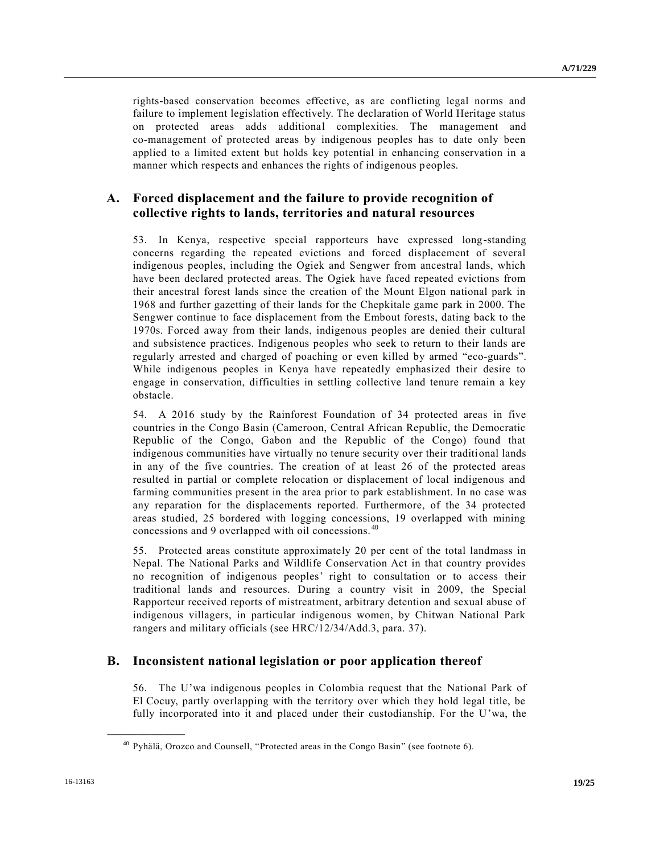rights-based conservation becomes effective, as are conflicting legal norms and failure to implement legislation effectively. The declaration of World Heritage status on protected areas adds additional complexities. The management and co-management of protected areas by indigenous peoples has to date only been applied to a limited extent but holds key potential in enhancing conservation in a manner which respects and enhances the rights of indigenous peoples.

### **A. Forced displacement and the failure to provide recognition of collective rights to lands, territories and natural resources**

53. In Kenya, respective special rapporteurs have expressed long-standing concerns regarding the repeated evictions and forced displacement of several indigenous peoples, including the Ogiek and Sengwer from ancestral lands, which have been declared protected areas. The Ogiek have faced repeated evictions from their ancestral forest lands since the creation of the Mount Elgon national park in 1968 and further gazetting of their lands for the Chepkitale game park in 2000. The Sengwer continue to face displacement from the Embout forests, dating back to the 1970s. Forced away from their lands, indigenous peoples are denied their cultural and subsistence practices. Indigenous peoples who seek to return to their lands are regularly arrested and charged of poaching or even killed by armed "eco-guards". While indigenous peoples in Kenya have repeatedly emphasized their desire to engage in conservation, difficulties in settling collective land tenure remain a key obstacle.

54. A 2016 study by the Rainforest Foundation of 34 protected areas in five countries in the Congo Basin (Cameroon, Central African Republic, the Democratic Republic of the Congo, Gabon and the Republic of the Congo) found that indigenous communities have virtually no tenure security over their traditional lands in any of the five countries. The creation of at least 26 of the protected areas resulted in partial or complete relocation or displacement of local indigenous and farming communities present in the area prior to park establishment. In no case was any reparation for the displacements reported. Furthermore, of the 34 protected areas studied, 25 bordered with logging concessions, 19 overlapped with mining concessions and 9 overlapped with oil concessions. <sup>40</sup>

55. Protected areas constitute approximately 20 per cent of the total landmass in Nepal. The National Parks and Wildlife Conservation Act in that country provides no recognition of indigenous peoples' right to consultation or to access their traditional lands and resources. During a country visit in 2009, the Special Rapporteur received reports of mistreatment, arbitrary detention and sexual abuse of indigenous villagers, in particular indigenous women, by Chitwan National Park rangers and military officials (see HRC/12/34/Add.3, para. 37).

### **B. Inconsistent national legislation or poor application thereof**

56. The U'wa indigenous peoples in Colombia request that the National Park of El Cocuy, partly overlapping with the territory over which they hold legal title, be fully incorporated into it and placed under their custodianship. For the U'wa, the

<sup>40</sup> Pyhälä, Orozco and Counsell, "Protected areas in the Congo Basin" (see footnote 6).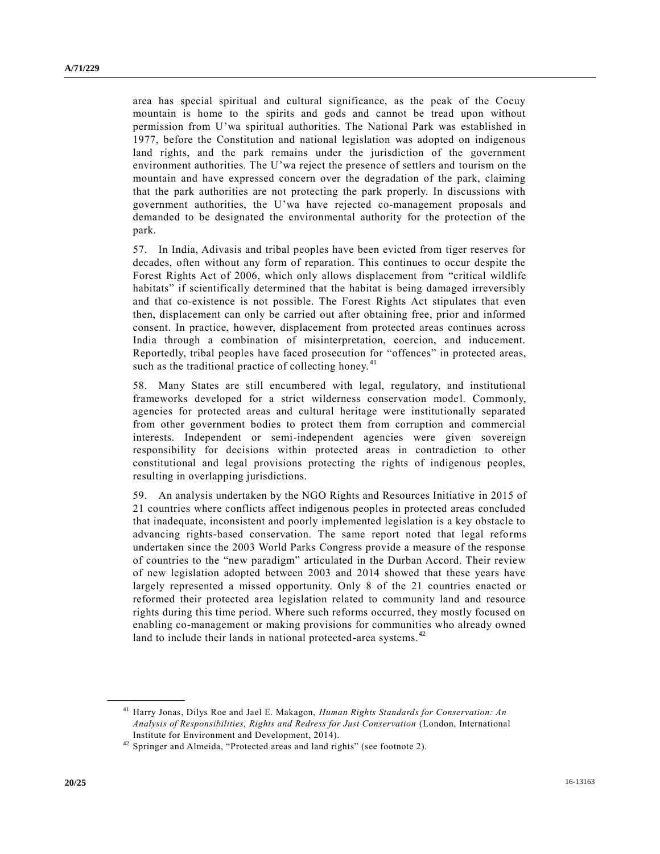area has special spiritual and cultural significance, as the peak of the Cocuy mountain is home to the spirits and gods and cannot be tread upon without permission from U'wa spiritual authorities. The National Park was established in 1977, before the Constitution and national legislation was adopted on indigenous land rights, and the park remains under the jurisdiction of the government environment authorities. The U'wa reject the presence of settlers and tourism on the mountain and have expressed concern over the degradation of the park, claiming that the park authorities are not protecting the park properly. In discussions with government authorities, the U'wa have rejected co-management proposals and demanded to be designated the environmental authority for the protection of the park.

57. In India, Adivasis and tribal peoples have been evicted from tiger reserves for decades, often without any form of reparation. This continues to occur despite the Forest Rights Act of 2006, which only allows displacement from "critical wildlife habitats" if scientifically determined that the habitat is being damaged irreversibly and that co-existence is not possible. The Forest Rights Act stipulates that even then, displacement can only be carried out after obtaining free, prior and informed consent. In practice, however, displacement from protected areas continues across India through a combination of misinterpretation, coercion, and inducement. Reportedly, tribal peoples have faced prosecution for "offences" in protected areas, such as the traditional practice of collecting honey.<sup>41</sup>

58. Many States are still encumbered with legal, regulatory, and institutional frameworks developed for a strict wilderness conservation model. Commonly, agencies for protected areas and cultural heritage were institutionally separated from other government bodies to protect them from corruption and commercial interests. Independent or semi-independent agencies were given sovereign responsibility for decisions within protected areas in contradiction to other constitutional and legal provisions protecting the rights of indigenous peoples, resulting in overlapping jurisdictions.

59. An analysis undertaken by the NGO Rights and Resources Initiative in 2015 of 21 countries where conflicts affect indigenous peoples in protected areas concluded that inadequate, inconsistent and poorly implemented legislation is a key obstacle to advancing rights-based conservation. The same report noted that legal reforms undertaken since the 2003 World Parks Congress provide a measure of the response of countries to the "new paradigm" articulated in the Durban Accord. Their review of new legislation adopted between 2003 and 2014 showed that these years have largely represented a missed opportunity. Only 8 of the 21 countries enacted or reformed their protected area legislation related to community land and resource rights during this time period. Where such reforms occurred, they mostly focused on enabling co-management or making provisions for communities who already owned land to include their lands in national protected-area systems.<sup>42</sup>

<sup>41</sup> Harry Jonas, Dilys Roe and Jael E. Makagon, *Human Rights Standards for Conservation: An Analysis of Responsibilities, Rights and Redress for Just Conservation* (London, International Institute for Environment and Development, 2014).

<sup>&</sup>lt;sup>42</sup> Springer and Almeida, "Protected areas and land rights" (see footnote 2).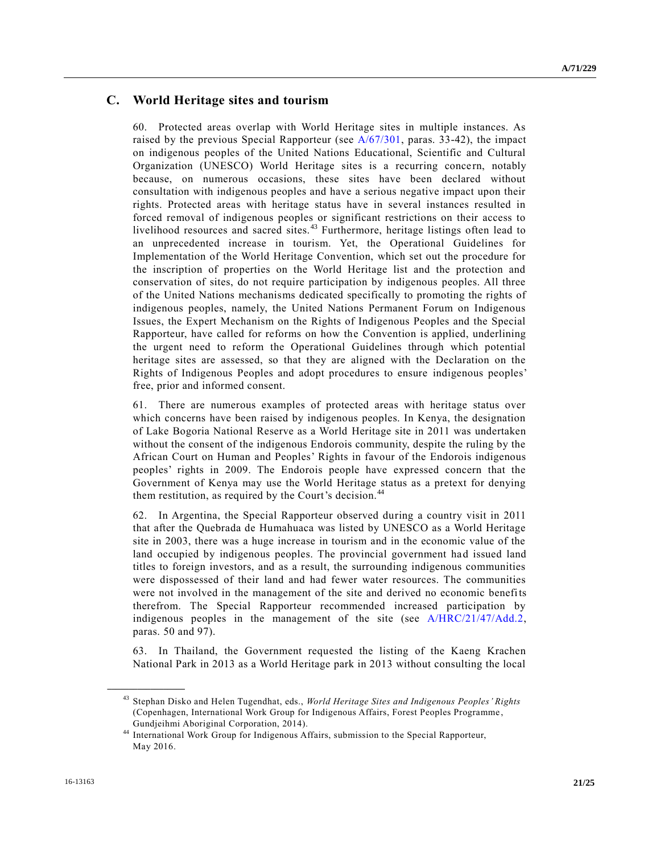### **C. World Heritage sites and tourism**

60. Protected areas overlap with World Heritage sites in multiple instances. As raised by the previous Special Rapporteur (see  $A/67/301$ , paras. 33-42), the impact on indigenous peoples of the United Nations Educational, Scientific and Cultural Organization (UNESCO) World Heritage sites is a recurring concern, notably because, on numerous occasions, these sites have been declared without consultation with indigenous peoples and have a serious negative impact upon their rights. Protected areas with heritage status have in several instances resulted in forced removal of indigenous peoples or significant restrictions on their access to livelihood resources and sacred sites.<sup>43</sup> Furthermore, heritage listings often lead to an unprecedented increase in tourism. Yet, the Operational Guidelines for Implementation of the World Heritage Convention, which set out the procedure for the inscription of properties on the World Heritage list and the protection and conservation of sites, do not require participation by indigenous peoples. All three of the United Nations mechanisms dedicated specifically to promoting the rights of indigenous peoples, namely, the United Nations Permanent Forum on Indigenous Issues, the Expert Mechanism on the Rights of Indigenous Peoples and the Special Rapporteur, have called for reforms on how the Convention is applied, underlining the urgent need to reform the Operational Guidelines through which potential heritage sites are assessed, so that they are aligned with the Declaration on the Rights of Indigenous Peoples and adopt procedures to ensure indigenous peoples' free, prior and informed consent.

61. There are numerous examples of protected areas with heritage status over which concerns have been raised by indigenous peoples. In Kenya, the designation of Lake Bogoria National Reserve as a World Heritage site in 2011 was undertaken without the consent of the indigenous Endorois community, despite the ruling by the African Court on Human and Peoples' Rights in favour of the Endorois indigenous peoples' rights in 2009. The Endorois people have expressed concern that the Government of Kenya may use the World Heritage status as a pretext for denying them restitution, as required by the Court's decision.<sup>44</sup>

62. In Argentina, the Special Rapporteur observed during a country visit in 2011 that after the Quebrada de Humahuaca was listed by UNESCO as a World Heritage site in 2003, there was a huge increase in tourism and in the economic value of the land occupied by indigenous peoples. The provincial government had issued land titles to foreign investors, and as a result, the surrounding indigenous communities were dispossessed of their land and had fewer water resources. The communities were not involved in the management of the site and derived no economic benefits therefrom. The Special Rapporteur recommended increased participation by indigenous peoples in the management of the site (see [A/HRC/21/47/Add.2,](http://undocs.org/A/HRC/21/47/Add.2) paras. 50 and 97).

63. In Thailand, the Government requested the listing of the Kaeng Krachen National Park in 2013 as a World Heritage park in 2013 without consulting the local

<sup>43</sup> Stephan Disko and Helen Tugendhat, eds., *World Heritage Sites and Indigenous Peoples' Rights* (Copenhagen, International Work Group for Indigenous Affairs, Forest Peoples Programme , Gundjeihmi Aboriginal Corporation, 2014).

<sup>44</sup> International Work Group for Indigenous Affairs, submission to the Special Rapporteur, May 2016.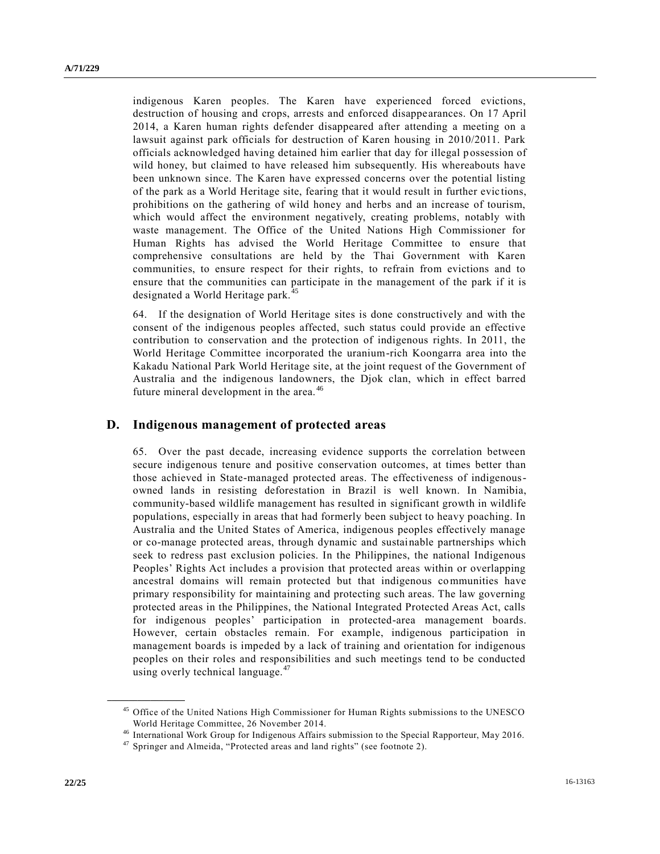indigenous Karen peoples. The Karen have experienced forced evictions, destruction of housing and crops, arrests and enforced disappearances. On 17 April 2014, a Karen human rights defender disappeared after attending a meeting on a lawsuit against park officials for destruction of Karen housing in 2010/2011. Park officials acknowledged having detained him earlier that day for illegal possession of wild honey, but claimed to have released him subsequently. His whereabouts have been unknown since. The Karen have expressed concerns over the potential listing of the park as a World Heritage site, fearing that it would result in further evic tions, prohibitions on the gathering of wild honey and herbs and an increase of tourism, which would affect the environment negatively, creating problems, notably with waste management. The Office of the United Nations High Commissioner for Human Rights has advised the World Heritage Committee to ensure that comprehensive consultations are held by the Thai Government with Karen communities, to ensure respect for their rights, to refrain from evictions and to ensure that the communities can participate in the management of the park if it is designated a World Heritage park.<sup>45</sup>

64. If the designation of World Heritage sites is done constructively and with the consent of the indigenous peoples affected, such status could provide an effective contribution to conservation and the protection of indigenous rights. In 2011, the World Heritage Committee incorporated the uranium-rich Koongarra area into the Kakadu National Park World Heritage site, at the joint request of the Government of Australia and the indigenous landowners, the Djok clan, which in effect barred future mineral development in the area.<sup>46</sup>

#### **D. Indigenous management of protected areas**

65. Over the past decade, increasing evidence supports the correlation between secure indigenous tenure and positive conservation outcomes, at times better than those achieved in State-managed protected areas. The effectiveness of indigenousowned lands in resisting deforestation in Brazil is well known. In Namibia, community-based wildlife management has resulted in significant growth in wildlife populations, especially in areas that had formerly been subject to heavy poaching. In Australia and the United States of America, indigenous peoples effectively manage or co-manage protected areas, through dynamic and sustainable partnerships which seek to redress past exclusion policies. In the Philippines, the national Indigenous Peoples' Rights Act includes a provision that protected areas within or overlapping ancestral domains will remain protected but that indigenous communities have primary responsibility for maintaining and protecting such areas. The law governing protected areas in the Philippines, the National Integrated Protected Areas Act, calls for indigenous peoples' participation in protected-area management boards. However, certain obstacles remain. For example, indigenous participation in management boards is impeded by a lack of training and orientation for indigenous peoples on their roles and responsibilities and such meetings tend to be conducted using overly technical language.<sup>47</sup>

<sup>&</sup>lt;sup>45</sup> Office of the United Nations High Commissioner for Human Rights submissions to the UNESCO World Heritage Committee, 26 November 2014.

<sup>46</sup> International Work Group for Indigenous Affairs submission to the Special Rapporteur, May 2016.

 $47$  Springer and Almeida, "Protected areas and land rights" (see footnote 2).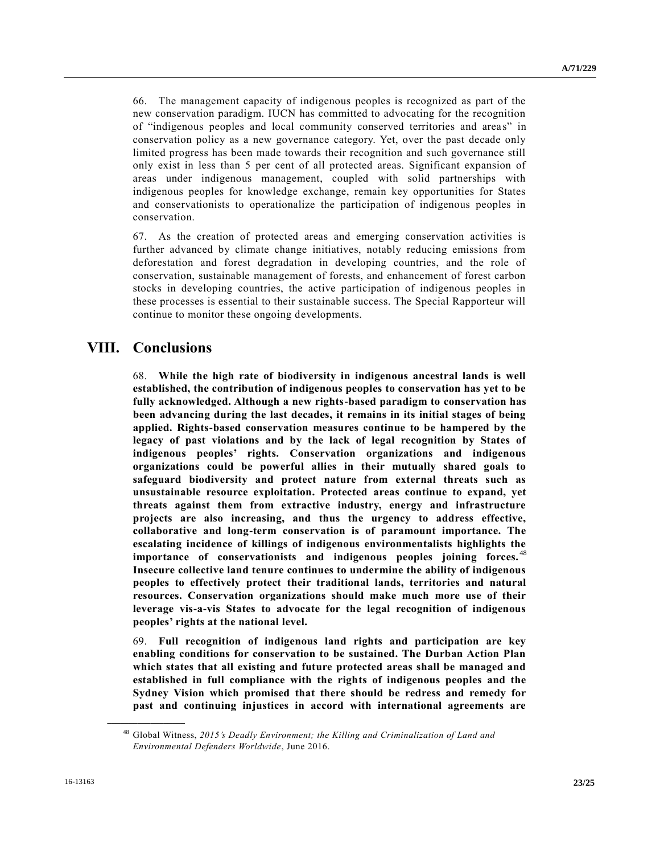66. The management capacity of indigenous peoples is recognized as part of the new conservation paradigm. IUCN has committed to advocating for the recognition of "indigenous peoples and local community conserved territories and areas" in conservation policy as a new governance category. Yet, over the past decade only limited progress has been made towards their recognition and such governance still only exist in less than 5 per cent of all protected areas. Significant expansion of areas under indigenous management, coupled with solid partnerships with indigenous peoples for knowledge exchange, remain key opportunities for States and conservationists to operationalize the participation of indigenous peoples in conservation.

67. As the creation of protected areas and emerging conservation activities is further advanced by climate change initiatives, notably reducing emissions from deforestation and forest degradation in developing countries, and the role of conservation, sustainable management of forests, and enhancement of forest carbon stocks in developing countries, the active participation of indigenous peoples in these processes is essential to their sustainable success. The Special Rapporteur will continue to monitor these ongoing developments.

## **VIII. Conclusions**

68. **While the high rate of biodiversity in indigenous ancestral lands is well established, the contribution of indigenous peoples to conservation has yet to be fully acknowledged. Although a new rights-based paradigm to conservation has been advancing during the last decades, it remains in its initial stages of being applied. Rights-based conservation measures continue to be hampered by the legacy of past violations and by the lack of legal recognition by States of indigenous peoples' rights. Conservation organizations and indigenous organizations could be powerful allies in their mutually shared goals to safeguard biodiversity and protect nature from external threats such as unsustainable resource exploitation. Protected areas continue to expand, yet threats against them from extractive industry, energy and infrastructure projects are also increasing, and thus the urgency to address effective, collaborative and long-term conservation is of paramount importance. The escalating incidence of killings of indigenous environmentalists highlights the importance of conservationists and indigenous peoples joining forces.** <sup>48</sup> **Insecure collective land tenure continues to undermine the ability of indigenous peoples to effectively protect their traditional lands, territories and natural resources. Conservation organizations should make much more use of their leverage vis-a-vis States to advocate for the legal recognition of indigenous peoples' rights at the national level.**

69. **Full recognition of indigenous land rights and participation are key enabling conditions for conservation to be sustained. The Durban Action Plan which states that all existing and future protected areas shall be managed and established in full compliance with the rights of indigenous peoples and the Sydney Vision which promised that there should be redress and remedy for past and continuing injustices in accord with international agreements are** 

<sup>48</sup> Global Witness, *2015's Deadly Environment; the Killing and Criminalization of Land and Environmental Defenders Worldwide*, June 2016.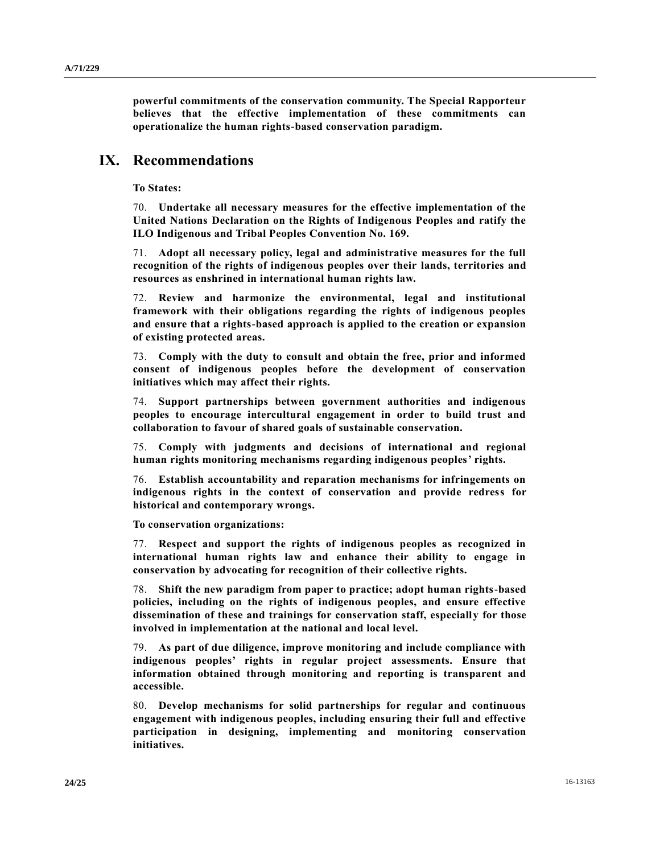**powerful commitments of the conservation community. The Special Rapporteur believes that the effective implementation of these commitments can operationalize the human rights-based conservation paradigm.**

## **IX. Recommendations**

**To States:**

70. **Undertake all necessary measures for the effective implementation of the United Nations Declaration on the Rights of Indigenous Peoples and ratify the ILO Indigenous and Tribal Peoples Convention No. 169.**

71. **Adopt all necessary policy, legal and administrative measures for the full recognition of the rights of indigenous peoples over their lands, territories and resources as enshrined in international human rights law.**

72. **Review and harmonize the environmental, legal and institutional framework with their obligations regarding the rights of indigenous peoples and ensure that a rights-based approach is applied to the creation or expansion of existing protected areas.**

73. **Comply with the duty to consult and obtain the free, prior and informed consent of indigenous peoples before the development of conservation initiatives which may affect their rights.**

74. **Support partnerships between government authorities and indigenous peoples to encourage intercultural engagement in order to build trust and collaboration to favour of shared goals of sustainable conservation.**

75. **Comply with judgments and decisions of international and regional human rights monitoring mechanisms regarding indigenous peoples' rights.**

76. **Establish accountability and reparation mechanisms for infringements on indigenous rights in the context of conservation and provide redress for historical and contemporary wrongs.**

**To conservation organizations:**

77. **Respect and support the rights of indigenous peoples as recognized in international human rights law and enhance their ability to engage in conservation by advocating for recognition of their collective rights.**

78. **Shift the new paradigm from paper to practice; adopt human rights-based policies, including on the rights of indigenous peoples, and ensure effective dissemination of these and trainings for conservation staff, especially for those involved in implementation at the national and local level.**

79. **As part of due diligence, improve monitoring and include compliance with indigenous peoples' rights in regular project assessments. Ensure that information obtained through monitoring and reporting is transparent and accessible.**

80. **Develop mechanisms for solid partnerships for regular and continuous engagement with indigenous peoples, including ensuring their full and effective participation in designing, implementing and monitoring conservation initiatives.**